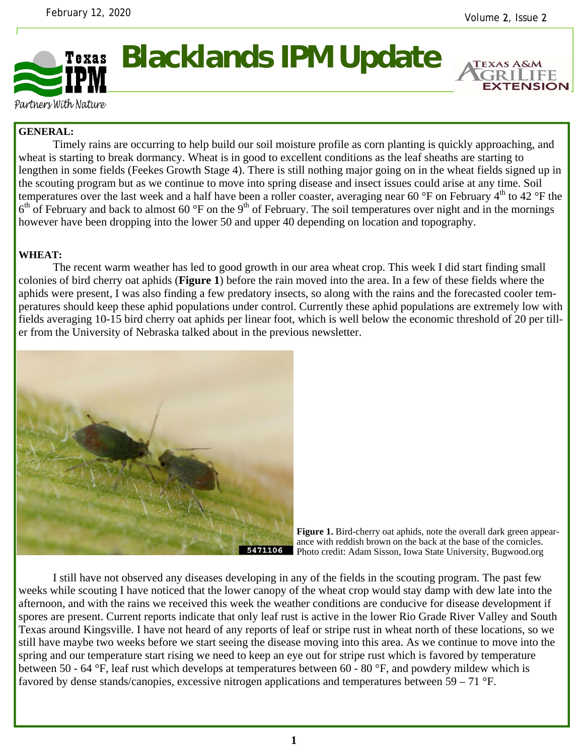**EXTENSION** 



Partners With Nature

## **GENERAL:**

 Timely rains are occurring to help build our soil moisture profile as corn planting is quickly approaching, and wheat is starting to break dormancy. Wheat is in good to excellent conditions as the leaf sheaths are starting to lengthen in some fields (Feekes Growth Stage 4). There is still nothing major going on in the wheat fields signed up in the scouting program but as we continue to move into spring disease and insect issues could arise at any time. Soil temperatures over the last week and a half have been a roller coaster, averaging near 60  $\degree$ F on February 4<sup>th</sup> to 42  $\degree$ F the  $6<sup>th</sup>$  of February and back to almost 60 °F on the 9<sup>th</sup> of February. The soil temperatures over night and in the mornings however have been dropping into the lower 50 and upper 40 depending on location and topography.

## **WHEAT:**

 The recent warm weather has led to good growth in our area wheat crop. This week I did start finding small colonies of bird cherry oat aphids (**Figure 1**) before the rain moved into the area. In a few of these fields where the aphids were present, I was also finding a few predatory insects, so along with the rains and the forecasted cooler temperatures should keep these aphid populations under control. Currently these aphid populations are extremely low with fields averaging 10-15 bird cherry oat aphids per linear foot, which is well below the economic threshold of 20 per tiller from the University of Nebraska talked about in the previous newsletter.



Figure 1. Bird-cherry oat aphids, note the overall dark green appearance with reddish brown on the back at the base of the cornicles. Photo credit: Adam Sisson, Iowa State University, Bugwood.org

 I still have not observed any diseases developing in any of the fields in the scouting program. The past few weeks while scouting I have noticed that the lower canopy of the wheat crop would stay damp with dew late into the afternoon, and with the rains we received this week the weather conditions are conducive for disease development if spores are present. Current reports indicate that only leaf rust is active in the lower Rio Grade River Valley and South Texas around Kingsville. I have not heard of any reports of leaf or stripe rust in wheat north of these locations, so we still have maybe two weeks before we start seeing the disease moving into this area. As we continue to move into the spring and our temperature start rising we need to keep an eye out for stripe rust which is favored by temperature between 50 - 64 °F, leaf rust which develops at temperatures between 60 - 80 °F, and powdery mildew which is favored by dense stands/canopies, excessive nitrogen applications and temperatures between 59 – 71 °F.